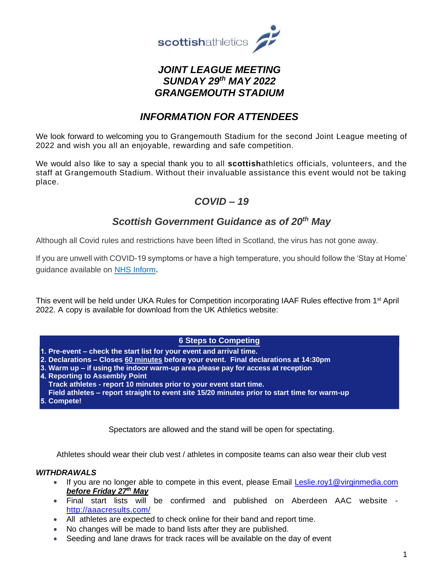

# *JOINT LEAGUE MEETING SUNDAY 29th MAY 2022 GRANGEMOUTH STADIUM*

# *INFORMATION FOR ATTENDEES*

We look forward to welcoming you to Grangemouth Stadium for the second Joint League meeting of 2022 and wish you all an enjoyable, rewarding and safe competition.

We would also like to say a special thank you to all **scottish**athletics officials, volunteers, and the staff at Grangemouth Stadium. Without their invaluable assistance this event would not be taking place.

# *COVID – 19*

# *Scottish Government Guidance as of 20th May*

Although all Covid rules and restrictions have been lifted in Scotland, the virus has not gone away.

If you are unwell with COVID-19 symptoms or have a high temperature, you should follow the 'Stay at Home' guidance available on [NHS Inform](http://www.nhsinform.scot/covid19).

This event will be held under UKA Rules for Competition incorporating IAAF Rules effective from 1st April 2022. A copy is available for download from the UK Athletics website:

## **6 Steps to Competing**

**Pre-event – check the start list for your event and arrival time.**

- **Declarations – Closes 60 minutes before your event. Final declarations at 14:30pm**
- **Warm up – if using the indoor warm-up area please pay for access at reception**

**4. Reporting to Assembly Point** 

**Track athletes - report 10 minutes prior to your event start time.**

- **Field athletes – report straight to event site 15/20 minutes prior to start time for warm-up**
- **Compete!**

Spectators are allowed and the stand will be open for spectating.

Athletes should wear their club vest / athletes in composite teams can also wear their club vest

#### *WITHDRAWALS*

- If you are no longer able to compete in this event, please Email [Leslie.roy1@virginmedia.com](mailto:Leslie.roy1@virginmedia.com) *before Friday 27th May*
- Final start lists will be confirmed and published on Aberdeen AAC website <http://aaacresults.com/>
- All athletes are expected to check online for their band and report time.
- No changes will be made to band lists after they are published.
- Seeding and lane draws for track races will be available on the day of event